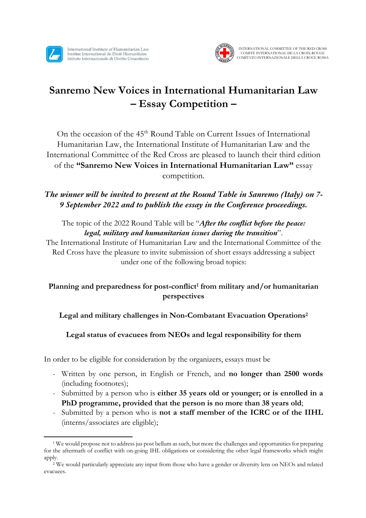

International Institute of Humanitarian Law Institut International de Droit Humanitaire Istituto Internazionale di Diritto Umanitario



# **Sanremo New Voices in International Humanitarian Law – Essay Competition –**

On the occasion of the 45<sup>th</sup> Round Table on Current Issues of International Humanitarian Law, the International Institute of Humanitarian Law and the International Committee of the Red Cross are pleased to launch their third edition of the **"Sanremo New Voices in International Humanitarian Law"** essay competition.

## *The winner will be invited to present at the Round Table in Sanremo (Italy) on 7- 9 September 2022 and to publish the essay in the Conference proceedings.*

### The topic of the 2022 Round Table will be "*After the conflict before the peace: legal, military and humanitarian issues during the transition*".

The International Institute of Humanitarian Law and the International Committee of the Red Cross have the pleasure to invite submission of short essays addressing a subject under one of the following broad topics:

## **Planning and preparedness for post-conflict1 from military and/or humanitarian perspectives**

#### **Legal and military challenges in Non-Combatant Evacuation Operations2**

#### **Legal status of evacuees from NEOs and legal responsibility for them**

In order to be eligible for consideration by the organizers, essays must be

- Written by one person, in English or French, and **no longer than 2500 words** (including footnotes);
- Submitted by a person who is **either 35 years old or younger; or is enrolled in a PhD programme, provided that the person is no more than 38 years old**;
- Submitted by a person who is **not a staff member of the ICRC or of the IIHL** (interns/associates are eligible);

<sup>1</sup> We would propose not to address jus post bellum as such, but more the challenges and opportunities for preparing for the aftermath of conflict with on-going IHL obligations or considering the other legal frameworks which might apply.

<sup>2</sup> We would particularly appreciate any input from those who have a gender or diversity lens on NEOs and related evacuees.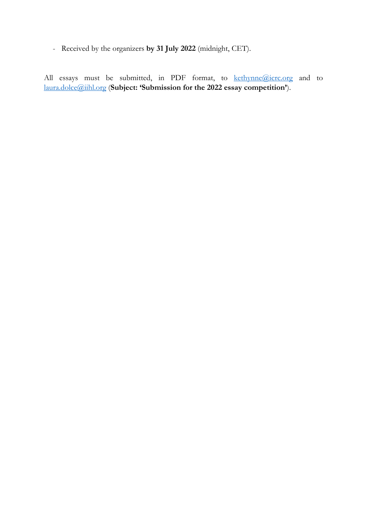- Received by the organizers **by 31 July 2022** (midnight, CET).

All essays must be submitted, in PDF format, to kethynne@icrc.org and to laura.dolce@iihl.org (**Subject: 'Submission for the 2022 essay competition'**).